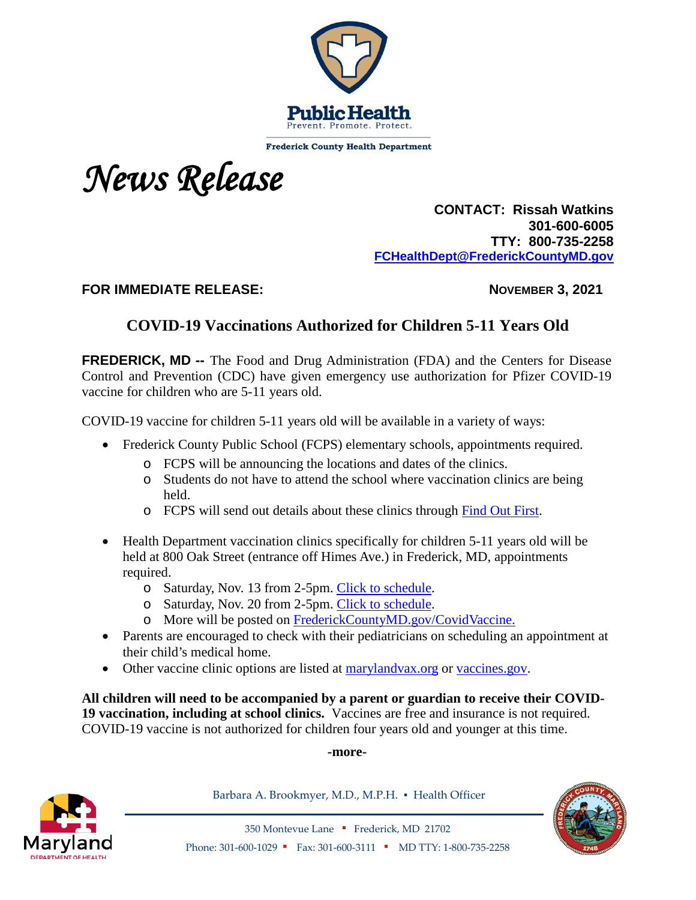

**Frederick County Health Department** 



 **CONTACT: Rissah Watkins 301-600-6005 TTY: 800-735-2258 [FCHealthDept@FrederickCountyMD.gov](mailto:RWatkinsFCHealthDept@FrederickCountyMD.gov)**

FOR IMMEDIATE RELEASE: NOVEMBER 3, 2021

## **COVID-19 Vaccinations Authorized for Children 5-11 Years Old**

**FREDERICK, MD --** The Food and Drug Administration (FDA) and the Centers for Disease Control and Prevention (CDC) have given emergency use authorization for Pfizer COVID-19 vaccine for children who are 5-11 years old.

COVID-19 vaccine for children 5-11 years old will be available in a variety of ways:

- Frederick County Public School (FCPS) elementary schools, appointments required.
	- o FCPS will be announcing the locations and dates of the clinics.
	- o Students do not have to attend the school where vaccination clinics are being held.
	- o FCPS will send out details about these clinics through [Find Out First.](http://www.fcps.org/fof)
- Health Department vaccination clinics specifically for children 5-11 years old will be held at 800 Oak Street (entrance off Himes Ave.) in Frederick, MD, appointments required.
	- o Saturday, Nov. 13 from 2-5pm. [Click to schedule.](https://www.marylandvax.org/appointment/en/reg/1562933606)
	- o Saturday, Nov. 20 from 2-5pm. [Click to schedule.](https://www.marylandvax.org/appointment/en/reg/6063129685)
	- o More will be posted on [FrederickCountyMD.gov/CovidVaccine.](http://frederickcountymd.gov/CovidVaccine)
- Parents are encouraged to check with their pediatricians on scheduling an appointment at their child's medical home.
- Other vaccine clinic options are listed at [marylandvax.org](https://www.marylandvax.org/appointment/en/clinic/search) or [vaccines.gov.](https://www.vaccines.gov/)

**All children will need to be accompanied by a parent or guardian to receive their COVID-19 vaccination, including at school clinics.** Vaccines are free and insurance is not required. COVID-19 vaccine is not authorized for children four years old and younger at this time.

**-more-**



Barbara A. Brookmyer, M.D., M.P.H. · Health Officer